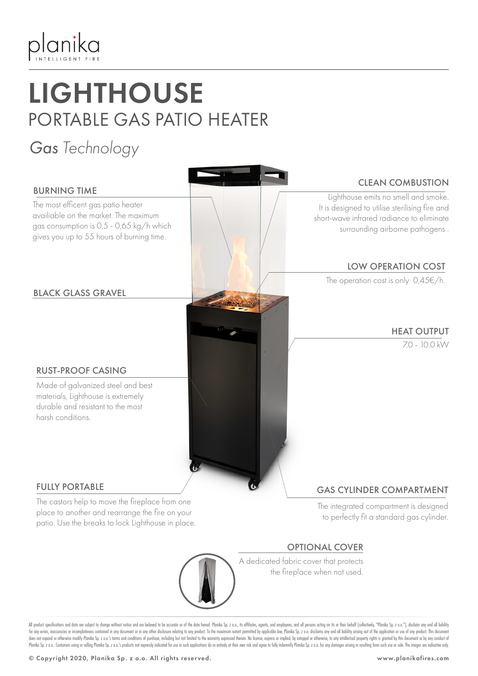

## **LIGHTHOUSE** PORTABLE GAS PATIO HEATER

### *Gas Technology*



All product specifications and data are subject to change without notice and are believed to be accurate as of the date hereof. Planika Sp. z o.o., its affiliates, agents, and employees, and all persons acting on its or th for any errors, inaccuracies or incompleteness contained in any document or in any other disclosure relating to any product. To the maximum extent permitted by applicable law, Planika Sp. z o.o. disclaims any and all liabi does not expand or otherwise modify Planika Sp. z o.o.'s terms and conditions of purchase, including but not limited to the warranty expressed therein. No license, express or implied, by estoppel or otherwise, to any intel Planika Sp. z o.o. Customers using or selling Planika Sp. z o.o.'s products not expressly indicated for use in such applications do so entirely at their own risk and agree to fully indemnify Planika Sp. z o.o. for any dama